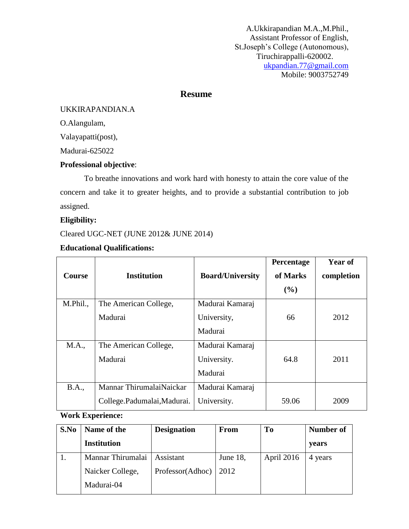# **Resume**

#### UKKIRAPANDIAN.A

O.Alangulam,

Valayapatti(post),

Madurai-625022

#### **Professional objective**:

To breathe innovations and work hard with honesty to attain the core value of the concern and take it to greater heights, and to provide a substantial contribution to job assigned.

### **Eligibility:**

Cleared UGC-NET (JUNE 2012& JUNE 2014)

| <b>Course</b> | <b>Institution</b>         | <b>Board/University</b> | Percentage<br>of Marks<br>(%) | <b>Year of</b><br>completion |
|---------------|----------------------------|-------------------------|-------------------------------|------------------------------|
| M.Phil.,      | The American College,      | Madurai Kamaraj         |                               |                              |
|               | Madurai                    | University,             | 66                            | 2012                         |
|               |                            | Madurai                 |                               |                              |
| M.A.,         | The American College,      | Madurai Kamaraj         |                               |                              |
|               | Madurai                    | University.             | 64.8                          | 2011                         |
|               |                            | Madurai                 |                               |                              |
| <b>B.A.,</b>  | Mannar ThirumalaiNaickar   | Madurai Kamaraj         |                               |                              |
|               | College.Padumalai,Madurai. | University.             | 59.06                         | 2009                         |

#### **Educational Qualifications:**

#### **Work Experience:**

| S.No | Name of the       | <b>Designation</b> | <b>From</b> | T <sub>0</sub> | Number of |
|------|-------------------|--------------------|-------------|----------------|-----------|
|      | Institution       |                    |             |                | years     |
|      | Mannar Thirumalai | Assistant          | June 18,    | April 2016     | 4 years   |
|      | Naicker College,  | Professor(Adhoc)   | 2012        |                |           |
|      | Madurai-04        |                    |             |                |           |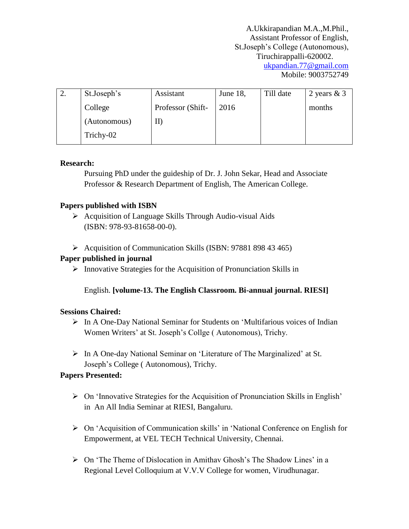| St.Joseph's  | Assistant         | June 18, | Till date | 2 years $& 3$ |
|--------------|-------------------|----------|-----------|---------------|
| College      | Professor (Shift- | 2016     |           | months        |
| (Autonomous) |                   |          |           |               |
| Trichy-02    |                   |          |           |               |

### **Research:**

Pursuing PhD under the guideship of Dr. J. John Sekar, Head and Associate Professor & Research Department of English, The American College.

## **Papers published with ISBN**

- $\triangleright$  Acquisition of Language Skills Through Audio-visual Aids (ISBN: 978-93-81658-00-0).
- $\triangleright$  Acquisition of Communication Skills (ISBN: 97881 898 43 465)

## **Paper published in journal**

 $\triangleright$  Innovative Strategies for the Acquisition of Pronunciation Skills in

English. **[volume-13. The English Classroom. Bi-annual journal. RIESI]**

## **Sessions Chaired:**

- In A One-Day National Seminar for Students on 'Multifarious voices of Indian Women Writers' at St. Joseph's Collge ( Autonomous), Trichy.
- In A One-day National Seminar on 'Literature of The Marginalized' at St. Joseph's College ( Autonomous), Trichy.

## **Papers Presented:**

- $\triangleright$  On 'Innovative Strategies for the Acquisition of Pronunciation Skills in English' in An All India Seminar at RIESI, Bangaluru.
- On 'Acquisition of Communication skills' in 'National Conference on English for Empowerment, at VEL TECH Technical University, Chennai.
- $\triangleright$  On 'The Theme of Dislocation in Amithav Ghosh's The Shadow Lines' in a Regional Level Colloquium at V.V.V College for women, Virudhunagar.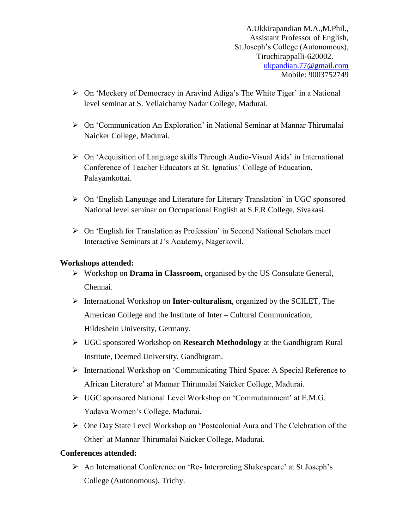- $\triangleright$  On 'Mockery of Democracy in Aravind Adiga's The White Tiger' in a National level seminar at S. Vellaichamy Nadar College, Madurai.
- On 'Communication An Exploration' in National Seminar at Mannar Thirumalai Naicker College, Madurai.
- On 'Acquisition of Language skills Through Audio-Visual Aids' in International Conference of Teacher Educators at St. Ignatius' College of Education, Palayamkottai.
- On 'English Language and Literature for Literary Translation' in UGC sponsored National level seminar on Occupational English at S.F.R College, Sivakasi.
- On 'English for Translation as Profession' in Second National Scholars meet Interactive Seminars at J's Academy, Nagerkovil.

#### **Workshops attended:**

- Workshop on **Drama in Classroom,** organised by the US Consulate General, Chennai.
- International Workshop on **Inter-culturalism**, organized by the SCILET, The American College and the Institute of Inter – Cultural Communication, Hildeshein University, Germany.
- UGC sponsored Workshop on **Research Methodology** at the Gandhigram Rural Institute, Deemed University, Gandhigram.
- International Workshop on 'Communicating Third Space: A Special Reference to African Literature' at Mannar Thirumalai Naicker College, Madurai.
- UGC sponsored National Level Workshop on 'Commutainment' at E.M.G. Yadava Women's College, Madurai.
- One Day State Level Workshop on 'Postcolonial Aura and The Celebration of the Other' at Mannar Thirumalai Naicker College, Madurai.

#### **Conferences attended:**

 An International Conference on 'Re- Interpreting Shakespeare' at St.Joseph's College (Autonomous), Trichy.